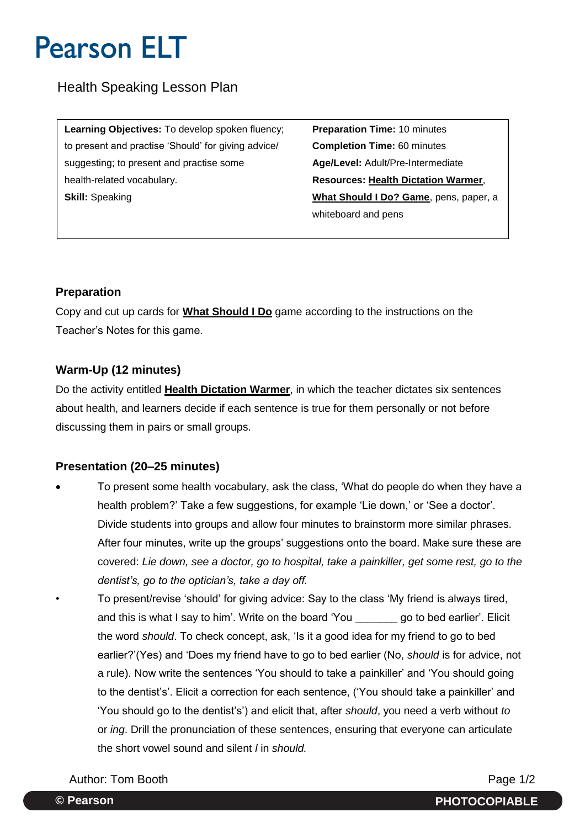# **Pearson ELT**

Health Speaking Lesson Plan

**Learning Objectives:** To develop spoken fluency; **Preparation Time:** 10 minutes to present and practise 'Should' for giving advice/ **Completion Time:** 60 minutes suggesting; to present and practise some **Age/Level:** Adult/Pre-Intermediate health-related vocabulary. **Resources: Health Dictation Warmer**, **Skill:** Speaking **What Should I Do? Game**, pens, paper, a

whiteboard and pens

#### **Preparation**

Copy and cut up cards for **What Should I Do** game according to the instructions on the Teacher's Notes for this game.

### **Warm-Up (12 minutes)**

Do the activity entitled **Health Dictation Warmer**, in which the teacher dictates six sentences about health, and learners decide if each sentence is true for them personally or not before discussing them in pairs or small groups.

### **Presentation (20–25 minutes)**

- To present some health vocabulary, ask the class, 'What do people do when they have a health problem?' Take a few suggestions, for example 'Lie down,' or 'See a doctor'. Divide students into groups and allow four minutes to brainstorm more similar phrases. After four minutes, write up the groups' suggestions onto the board. Make sure these are covered: *Lie down, see a doctor, go to hospital, take a painkiller, get some rest, go to the dentist's, go to the optician's, take a day off.*
- To present/revise 'should' for giving advice: Say to the class 'My friend is always tired, and this is what I say to him'. Write on the board 'You \_\_\_\_\_\_\_ go to bed earlier'. Elicit the word *should*. To check concept, ask, 'Is it a good idea for my friend to go to bed earlier?'(Yes) and 'Does my friend have to go to bed earlier (No, *should* is for advice, not a rule). Now write the sentences 'You should to take a painkiller' and 'You should going to the dentist's'. Elicit a correction for each sentence, ('You should take a painkiller' and 'You should go to the dentist's') and elicit that, after *should*, you need a verb without *to* or *ing*. Drill the pronunciation of these sentences, ensuring that everyone can articulate the short vowel sound and silent *l* in *should.*

Author: Tom Booth **Page 1/2**